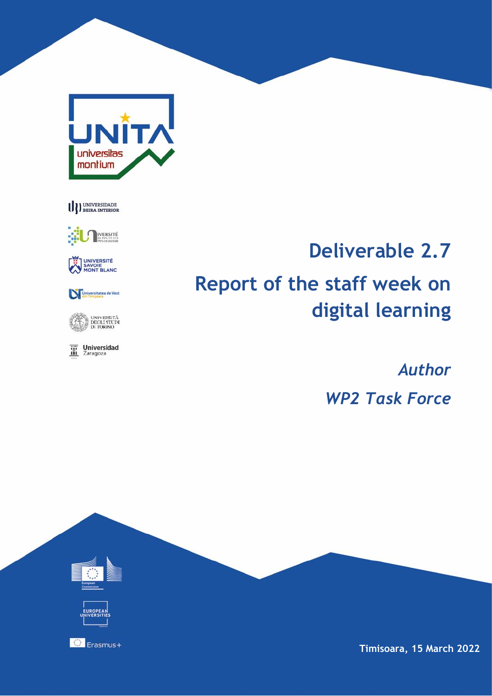





UNIVERSITÉ<br>SAVOIE<br>MONT BLANC

Universitatea de Vest

UNIVERSITÀ<br>DEGLI STUDI<br>DI TORINO

 $\overline{\mathbf{m}}$  Universidad

# **Deliverable 2.7 Report of the staff week on digital learning**

*Author WP2 Task Force*



**Timisoara, 15 March 2022**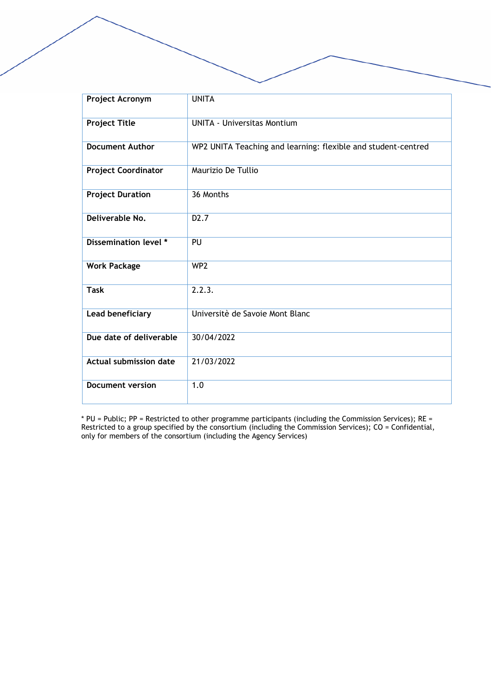| Project Acronym               | <b>UNITA</b>                                                  |
|-------------------------------|---------------------------------------------------------------|
| <b>Project Title</b>          | <b>UNITA - Universitas Montium</b>                            |
| <b>Document Author</b>        | WP2 UNITA Teaching and learning: flexible and student-centred |
| <b>Project Coordinator</b>    | Maurizio De Tullio                                            |
| <b>Project Duration</b>       | 36 Months                                                     |
| Deliverable No.               | D <sub>2</sub> .7                                             |
| Dissemination level *         | PU                                                            |
| <b>Work Package</b>           | WP <sub>2</sub>                                               |
| <b>Task</b>                   | 2.2.3.                                                        |
| Lead beneficiary              | Universitè de Savoie Mont Blanc                               |
| Due date of deliverable       | 30/04/2022                                                    |
| <b>Actual submission date</b> | 21/03/2022                                                    |
| <b>Document version</b>       | 1.0                                                           |

\* PU = Public; PP = Restricted to other programme participants (including the Commission Services); RE = Restricted to a group specified by the consortium (including the Commission Services); CO = Confidential, only for members of the consortium (including the Agency Services)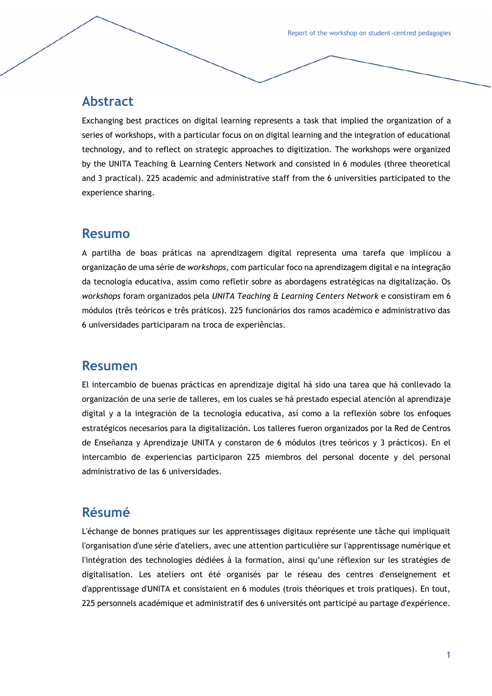### **Abstract**

Exchanging best practices on digital learning represents a task that implied the organization of a series of workshops, with a particular focus on on digital learning and the integration of educational technology, and to reflect on strategic approaches to digitization. The workshops were organized by the UNITA Teaching & Learning Centers Network and consisted in 6 modules (three theoretical and 3 practical). 225 academic and administrative staff from the 6 universities participated to the experience sharing.

#### **Resumo**

A partilha de boas práticas na aprendizagem digital representa uma tarefa que implicou a organização de uma série de *workshops*, com particular foco na aprendizagem digital e na integração da tecnologia educativa, assim como refletir sobre as abordagens estratégicas na digitalização. Os *workshops* foram organizados pela *UNITA Teaching & Learning Centers Network* e consistiram em 6 módulos (três teóricos e três práticos). 225 funcionários dos ramos académico e administrativo das 6 universidades participaram na troca de experiências.

#### **Resumen**

El intercambio de buenas prácticas en aprendizaje digital há sido una tarea que há conllevado la organización de una serie de talleres, em los cuales se há prestado especial atención al aprendizaje digital y a la integración de la tecnología educativa, así como a la reflexión sobre los enfoques estratégicos necesarios para la digitalización. Los talleres fueron organizados por la Red de Centros de Enseñanza y Aprendizaje UNITA y constaron de 6 módulos (tres teóricos y 3 prácticos). En el intercambio de experiencias participaron 225 miembros del personal docente y del personal administrativo de las 6 universidades.

#### **Résumé**

L'échange de bonnes pratiques sur les apprentissages digitaux représente une tâche qui impliquait l'organisation d'une série d'ateliers, avec une attention particulière sur l'apprentissage numérique et l'intégration des technologies dédiées à la formation, ainsi qu'une réflexion sur les stratégies de digitalisation. Les ateliers ont été organisés par le réseau des centres d'enseignement et d'apprentissage d'UNITA et consistaient en 6 modules (trois théoriques et trois pratiques). En tout, 225 personnels académique et administratif des 6 universités ont participé au partage d'expérience.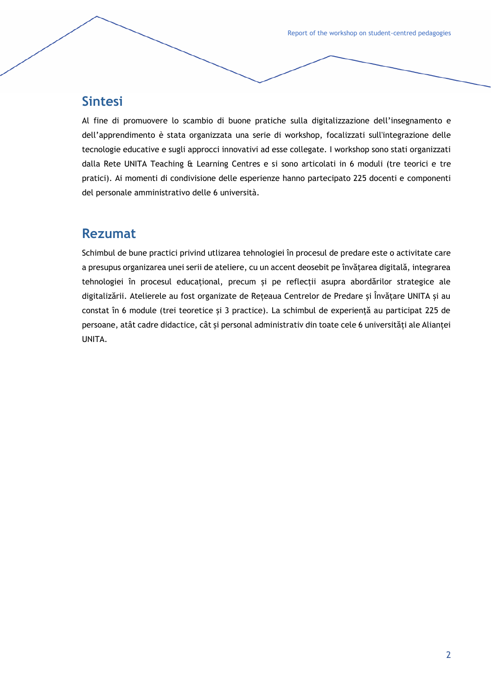Report of the workshop on student-centred pedagogies

## **Sintesi**

Al fine di promuovere lo scambio di buone pratiche sulla digitalizzazione dell'insegnamento e dell'apprendimento è stata organizzata una serie di workshop, focalizzati sull'integrazione delle tecnologie educative e sugli approcci innovativi ad esse collegate. I workshop sono stati organizzati dalla Rete UNITA Teaching & Learning Centres e si sono articolati in 6 moduli (tre teorici e tre pratici). Ai momenti di condivisione delle esperienze hanno partecipato 225 docenti e componenti del personale amministrativo delle 6 università.

## **Rezumat**

Schimbul de bune practici privind utlizarea tehnologiei în procesul de predare este o activitate care a presupus organizarea unei serii de ateliere, cu un accent deosebit pe învățarea digitală, integrarea tehnologiei în procesul educațional, precum și pe reflecții asupra abordărilor strategice ale digitalizării. Atelierele au fost organizate de Rețeaua Centrelor de Predare și Învățare UNITA și au constat în 6 module (trei teoretice și 3 practice). La schimbul de experiență au participat 225 de persoane, atât cadre didactice, cât și personal administrativ din toate cele 6 universități ale Alianței UNITA.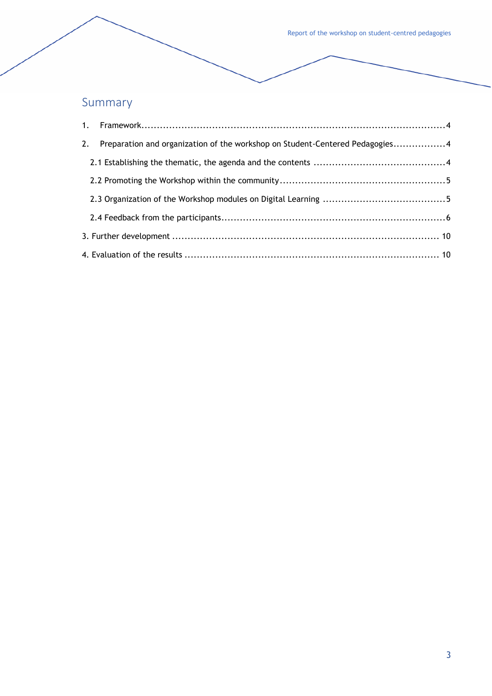Report of the workshop on student-centred pedagogies

## Summary

| 2. | Preparation and organization of the workshop on Student-Centered Pedagogies4 |  |
|----|------------------------------------------------------------------------------|--|
|    |                                                                              |  |
|    |                                                                              |  |
|    |                                                                              |  |
|    |                                                                              |  |
|    |                                                                              |  |
|    |                                                                              |  |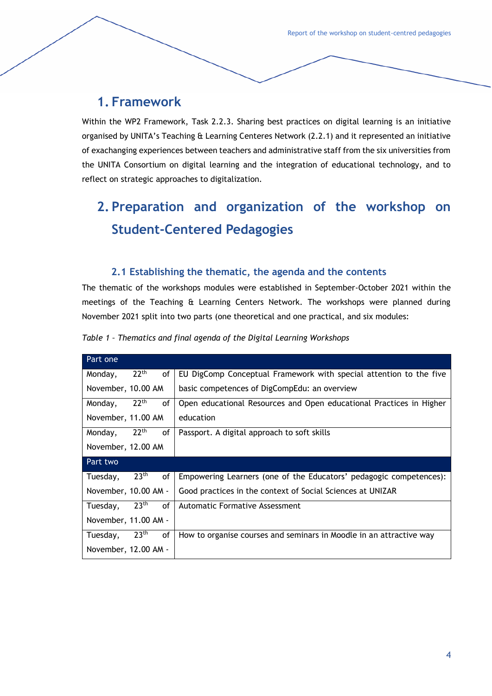## <span id="page-5-0"></span>**1. Framework**

Within the WP2 Framework, Task 2.2.3. Sharing best practices on digital learning is an initiative organised by UNITA's Teaching & Learning Centeres Network (2.2.1) and it represented an initiative of exachanging experiences between teachers and administrative staff from the six universities from the UNITA Consortium on digital learning and the integration of educational technology, and to reflect on strategic approaches to digitalization.

## <span id="page-5-1"></span>**2. Preparation and organization of the workshop on Student-Centered Pedagogies**

#### **2.1 Establishing the thematic, the agenda and the contents**

<span id="page-5-2"></span>The thematic of the workshops modules were established in September-October 2021 within the meetings of the Teaching & Learning Centers Network. The workshops were planned during November 2021 split into two parts (one theoretical and one practical, and six modules:

| Part one                                      |                                                                     |
|-----------------------------------------------|---------------------------------------------------------------------|
| 22 <sup>th</sup><br>Monday,<br>οf             | EU DigComp Conceptual Framework with special attention to the five  |
| November, 10.00 AM                            | basic competences of DigCompEdu: an overview                        |
| 22 <sup>th</sup><br>of<br>Monday,             | Open educational Resources and Open educational Practices in Higher |
| November, 11.00 AM                            | education                                                           |
| 22 <sup>th</sup><br>Monday,<br>οf             | Passport. A digital approach to soft skills                         |
| November, 12.00 AM                            |                                                                     |
|                                               |                                                                     |
|                                               |                                                                     |
| 23 <sup>th</sup><br>οf<br>Tuesday,            | Empowering Learners (one of the Educators' pedagogic competences):  |
| November, 10.00 AM -                          | Good practices in the context of Social Sciences at UNIZAR          |
| 23 <sup>th</sup><br><sub>of</sub><br>Tuesday, | Automatic Formative Assessment                                      |
| <b>Part two</b><br>November, 11.00 AM -       |                                                                     |
| 23 <sup>th</sup><br>Tuesday,<br>οf            | How to organise courses and seminars in Moodle in an attractive way |

*Table 1 – Thematics and final agenda of the Digital Learning Workshops*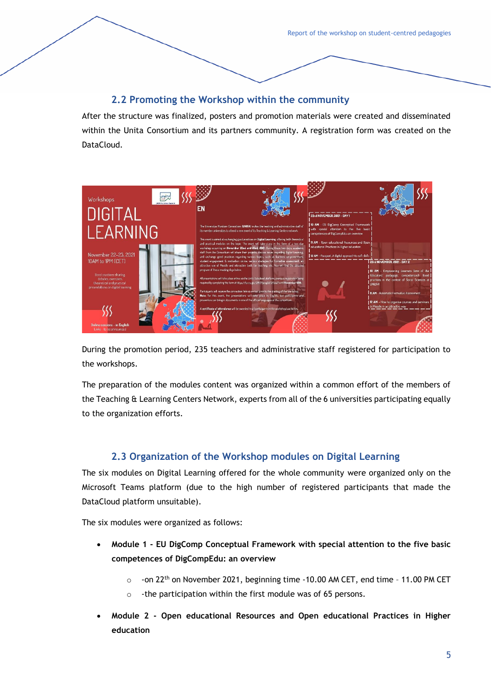#### **2.2 Promoting the Workshop within the community**

<span id="page-6-0"></span>After the structure was finalized, posters and promotion materials were created and disseminated within the Unita Consortium and its partners community. A registration form was created on the DataCloud.



During the promotion period, 235 teachers and administrative staff registered for participation to the workshops.

The preparation of the modules content was organized within a common effort of the members of the Teaching & Learning Centers Network, experts from all of the 6 universities participating equally to the organization efforts.

#### **2.3 Organization of the Workshop modules on Digital Learning**

<span id="page-6-1"></span>The six modules on Digital Learning offered for the whole community were organized only on the Microsoft Teams platform (due to the high number of registered participants that made the DataCloud platform unsuitable).

The six modules were organized as follows:

- **Module 1 - EU DigComp Conceptual Framework with special attention to the five basic competences of DigCompEdu: an overview**
	- $\circ$  -on 22<sup>th</sup> on November 2021, beginning time -10.00 AM CET, end time 11.00 PM CET
	- $\circ$  -the participation within the first module was of 65 persons.
- **Module 2 - Open educational Resources and Open educational Practices in Higher education**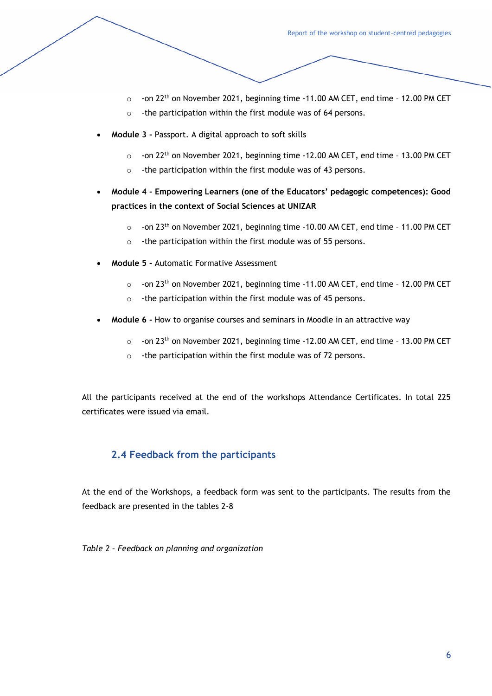- $\circ$  -on 22<sup>th</sup> on November 2021, beginning time -11.00 AM CET, end time 12.00 PM CET
- o -the participation within the first module was of 64 persons.
- **Module 3 -** Passport. A digital approach to soft skills
	- $\circ$  -on 22<sup>th</sup> on November 2021, beginning time -12.00 AM CET, end time 13.00 PM CET
	- o -the participation within the first module was of 43 persons.
- **Module 4 - Empowering Learners (one of the Educators' pedagogic competences): Good practices in the context of Social Sciences at UNIZAR**
	- $\circ$  -on 23<sup>th</sup> on November 2021, beginning time -10.00 AM CET, end time 11.00 PM CET
	- $\circ$  -the participation within the first module was of 55 persons.
- **Module 5 -** Automatic Formative Assessment
	- $\circ$  -on 23<sup>th</sup> on November 2021, beginning time -11.00 AM CET, end time 12.00 PM CET
	- o -the participation within the first module was of 45 persons.
- **Module 6 -** How to organise courses and seminars in Moodle in an attractive way
	- $\circ$  -on 23<sup>th</sup> on November 2021, beginning time -12.00 AM CET, end time 13.00 PM CET
	- o -the participation within the first module was of 72 persons.

All the participants received at the end of the workshops Attendance Certificates. In total 225 certificates were issued via email.

#### <span id="page-7-0"></span>**2.4 Feedback from the participants**

At the end of the Workshops, a feedback form was sent to the participants. The results from the feedback are presented in the tables 2-8

*Table 2 – Feedback on planning and organization*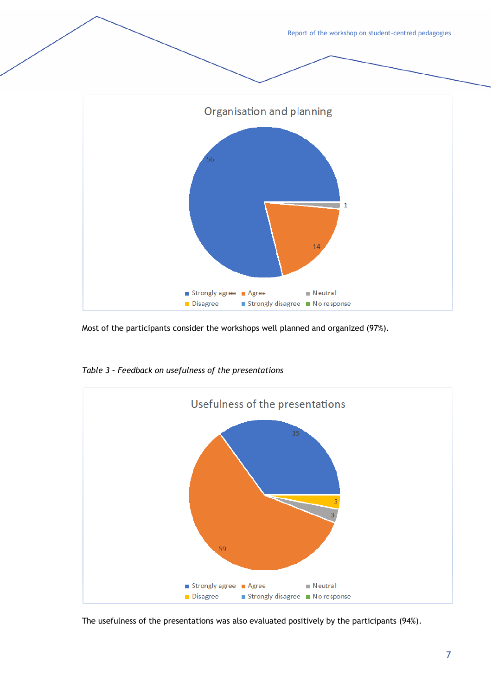Report of the workshop on student-centred pedagogies Organisation and planning  $\mathbf{1}$ 14 Strongly agree Agree  $\blacksquare$  Neutral Disagree ■ Strongly disagree ■ No response

Most of the participants consider the workshops well planned and organized (97%).



*Table 3 – Feedback on usefulness of the presentations*

The usefulness of the presentations was also evaluated positively by the participants (94%).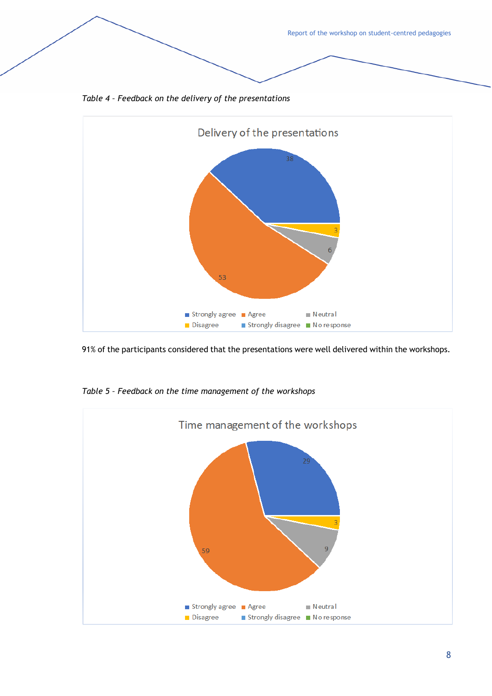Report of the workshop on student-centred pedagogies *Table 4 – Feedback on the delivery of the presentations* Delivery of the presentations

91% of the participants considered that the presentations were well delivered within the workshops.

 $\blacksquare$  Neutral

Strongly disagree No response



*Table 5 – Feedback on the time management of the workshops*

Disagree

53

Strongly agree **Agree**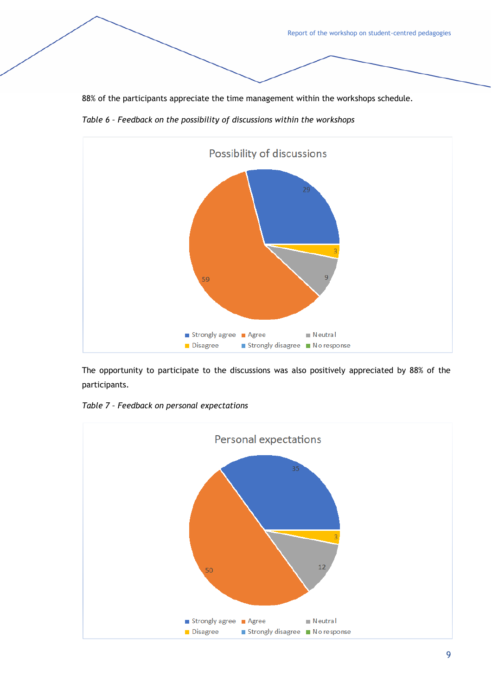88% of the participants appreciate the time management within the workshops schedule.





The opportunity to participate to the discussions was also positively appreciated by 88% of the participants.

*Table 7 – Feedback on personal expectations*